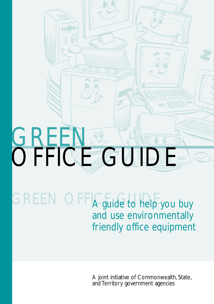

# GREEN OFFIA guide to help you buy and use environmentally friendly office equipment

A joint initiative of Commonwealth, State, and Territory government agencies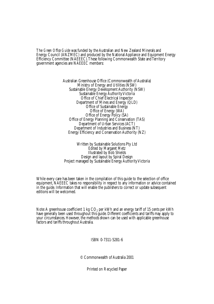The *Green Office Guide* was funded by the Australian and New Zealand Minerals and Energy Council (ANZMEC) and produced by the National Appliance and Equipment Energy Efficiency Committee (NAEEEC). These following Commonwealth State and Territory government agencies are NAEEEC members:

> Australian Greenhouse Office (Commonwealth of Australia) Ministry of Energy and Utilities (NSW) Sustainable Energy Development Authority (NSW) Sustainable Energy Authority Victoria Office of Chief Electrical Inspector Department of Mines and Energy (QLD) Office of Sustainable Energy Office of Energy (WA) Office of Energy Policy (SA) Office of Energy Planning and Conservation (TAS) Department of Urban Services (ACT) Department of Industries and Business (NT) Energy Efficiency and Conservation Authority (NZ)

Written by Sustainable Solutions Pty Ltd Edited by Margaret Metz Illustrated by Bob Shields Design and layout by Spiral Design Project managed by Sustainable Energy Authority Victoria

While every care has been taken in the compilation of this guide to the selection of office equipment, NAEEEC takes no responsibility in respect to any information or advice contained in the guide. Information that will enable the publishers to correct or update subsequent editions will be welcomed.

Note: A greenhouse coefficient 1 kg  $CO<sub>2</sub>$  per kWh and an energy tariff of 15 cents per kWh have generally been used throughout this guide. Different coefficients and tariffs may apply to your circumstances. However, the methods shown can be used with applicable greenhouse factors and tariffs throughout Australia.

ISBN 0-7311-5281-6

© Commonwealth of Australia 2001

Printed on Recycled Paper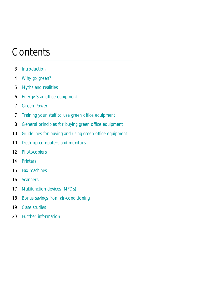## **Contents**

- Introduction
- Why go green?
- Myths and realities
- Energy Star office equipment
- Green Power
- Training your staff to use green office equipment
- General principles for buying green office equipment
- Guidelines for buying and using green office equipment
- 10 Desktop computers and monitors
- Photocopiers
- Printers
- Fax machines
- Scanners
- Multifunction devices (MFDs)
- 18 Bonus savings from air-conditioning
- Case studies
- Further information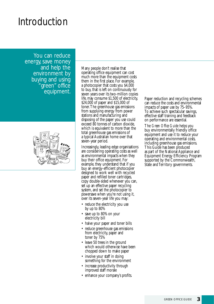### Introduction

You can reduce energy, save money and help the environment by buying and using 'green" of<u>fice</u> equipment.



Many people don't realise that operating office equipment can cost much more than the equipment costs them in the first place. For example, a photocopier that costs you \$4,000 to buy, that is left on continuously for seven years over its two-million copies life, may consume \$1,500 of electricity, \$24,000 of paper and \$15,000 of toner.The greenhouse gas emissions from supplying energy from power stations and manufacturing and disposing of the paper you use could exceed 80 tonnes of carbon dioxide, which is equivalent to more than the total greenhouse gas emissions of a typical Australian home over that seven-year period.

Increasingly, leading edge organisations are considering operating costs as well as environmental impacts when they buy their office equipment. For example, they understand that if you buy an energy-efficient photocopier designed to work well with recycled paper and refilled toner cartridges, copy double-sided whenever you can, set up an effective paper recycling system, and set the photocopier to powersave when you're not using it, over its seven-year life you may:

- reduce the electricity you use by up to 80%
- save up to 80% on your electricity bill
- halve your paper and toner bills
- reduce greenhouse gas emissions from electricity, paper and toner by 75%
- leave 50 trees in the ground which would otherwise have been chopped down to make paper
- involve your staff in doing something for the environment
- increase productivity through improved staff morale
- enhance your company's profits.

Paper reduction and recycling schemes can reduce the costs and environmental impacts of paper use by 75–95%. To achieve such spectacular savings, effective staff training and feedback on performance are essential.

The *Green Office Guide* helps you buy environmentally friendly office equipment and use it to reduce your operating and environmental costs, including greenhouse gas emissions. This Guide has been produced as part of the National Appliance and Equipment Energy Efficiency Program supported by the Commonwealth, State and Territory governments.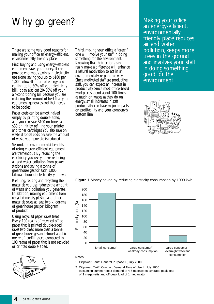# Why go green?

There are some very good reasons for making your office an energy-efficient, environmentally friendly place.

First, buying and using energy-efficient equipment saves you money. It can provide enormous savings in electricity use alone, saving you up to \$180 per 1,000 kilowatt-hours of energy and cutting up to 80% off your electricity bill. It can also cut 20–30% off your air-conditioning bill because you are reducing the amount of heat that your equipment generates and that needs to be cooled.

Paper costs can be almost halved simply by printing double-sided, and you can save \$100 on toner and \$30 on ink by refilling your printer and toner cartridges.You also save on waste disposal costs because the amount of waste you generate is reduced.

Second, the environmental benefits of using energy-efficient equipment are tremendous. By reducing the electricity you use you are reducing air and water pollution from power stations and saving a tonne of greenhouse gas for each 1,000 kilowatt-hour of electricity you save.

Refilling, reusing and recycling the materials you use reduces the amount of waste and pollution you generate. In addition, making equipment from recycled metals, plastics and other materials saves at least two kilograms of greenhouse gas per kilogram of product.

Using recycled paper saves trees. Every 100 reams of recycled office paper that is printed double-sided saves two trees, more than a tonne of greenhouse gas and almost a cubic metre of landfill space compared to 100 reams of paper that is not recycled or printed double-sided.



Third, making your office a "green" one will involve your staff in doing something for the environment. Knowing that their actions can really make a difference will enhance a natural motivation to act in an environmentally responsible way. Since motivated staff are productive staff, you can expect an increase in productivity. Since most office-based workplaces spend about 100 times as much on wages as they do on energy, small increases in staff productivity can have major impacts on profitability and your company's bottom line.

Making your office an energy-efficient, environmentally friendly place reduces air and water pollution, keeps more trees in the ground and involves your staff in doing something good for the environment.



**Figure 1** Money saved by reducing electricity consumption by 1000 kwh



#### **Notes**

- 1. Citipower, Tariff: General Purpose E, July 2000
- 2. Citipower, Tariff: Contract Demand Time of Use L, July 2000 (assuming summer peak demand of 4.5 megawatts, average peak load of 3 megawatts and off-peak load of 1 megawatt)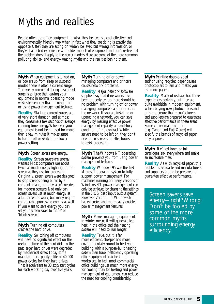# Myths and realities

People often use office equipment in what they believe is a cost-effective and environmentally friendly way when in fact what they are doing is exactly the opposite. Often they are acting on widely believed but wrong information, or they've had a bad experience with older models of equipment and don't realise that the problem doesn't apply to the newer models. Here are some of the more common polluting, dollar- and energy-wasting myths and the realities behind them.

**Myth** When equipment is turned on, or powers up from sleep or suspend modes, there is often a current surge. The energy consumed during this current surge is so large that leaving your equipment in normal operating mode wastes less energy than turning it off or using power management features.

**Reality** Start-up current surges are of very short duration and at most they consume a few seconds of average running time energy.Whenever your equipment is not being used for more than a few minutes it makes sense to turn it off or switch to a lower power setting.

**Myth** Screen savers save energy.

**Reality** Screen savers are energy wasters. Most computers use about twice as much energy lighting up the screen as they use for processing. Originally, screen savers were designed to stop screens being burnt by a constant image, but they aren't needed for modern screens. Not only can screen savers use as much energy as a full screen of work, but many require considerable processing energy as well. If you want to save energy you can set your screen saver to 'none' or 'blank screen.'

**Myth** Turning off computers crashes the hard drive.

**Reality** Switching off computers will have no significant effect on the useful lifetime of the hard disk. In the past larger hard drives were degraded by mechanical stress.Today some manufacturers specify a life of 40,000 power cycles for their hard drives. That is equivalent to 30 stop/start cycles for each working day over five years.

**Myth** Turning off or power managing computers and printers causes network problems.

**Reality** Major network software suppliers say that if networks have been properly set up there should be no problem with turning off or power managing computers and printers in the network. If you are installing or upgrading a network, you can save energy by making effective power management capacity a mandatory condition of the contract.While servers need to be left on, they don't need their screens on after hours to assist processing.

**Myth** The Windows NT operating system prevents you from using power management features.

**Reality** Windows 95 was the first Microsoft operating system to fully support power management. For machines running on many versions of Windows NT, power management can only be achieved by changing the settings in the BIOS (basic input/output system). However, Version 5 of Windows NT has extensive and more easily enabled power management features.

**Myth** Power managing equipment in winter means it will generate less heat in the office and the heating system will need to run longer.

**Reality** True, but it is far more efficient, cheaper and more environmentally sound to heat your building with a purpose-built heating system than have inefficiently operating office equipment leak heat into the workplace. In fact, most commercial office buildings use much more energy for cooling than for heating and power management of equipment can reduce the need for cooling considerably.

**Myth** Printing double-sided and/or using recycled paper causes photocopiers to jam and makes you use more paper.

**Reality** Many of us have had these experiences certainly, but they are quite avoidable in modern equipment. When buying new photocopiers and printers, ensure that manufacturers and suppliers are prepared to guarantee effective performance in these areas. Some copier manufacturers (e.g. Canon and Fuji Xerox) will specify the brands of recycled paper they approve.

**Myth** Refilled toner or ink cartridges leak everywhere and make an incredible mess.

**Reality** As with recycled paper, this problem is avoidable and manufacturers and suppliers should be prepared to guarantee effective performance.

Screen savers save energy—right? Wrong! Don't be fooled by some of the more common myths surrounding energy efficiency.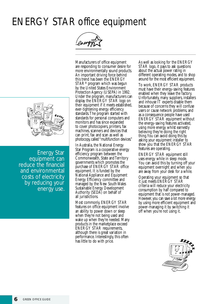# ENERGY STAR office equipment



Manufacturers of office equipment are responding to consumer desire for more environmentally sound products. An important driving force behind this trend has been the ENERGY STAR® program which was begun by the United States Environment Protection Agency (USEPA) in 1992. Under the program, manufacturers can display the ENERGY STAR logo on their equipment if it meets established, ever-tightening energy efficiency standards.The program started with standards for personal computers and monitors and has since expanded to cover photocopiers, printers, fax machines, scanners and devices that can print, fax and scan as well as photocopy, called "multifunction devices."

In Australia, the National Energy Star Program is a cooperative energy efficiency program between the Commonwealth, State and Territory governments which promotes the purchase of ENERGY STAR office equipment. It is funded by the National Appliance and Equipment Energy Efficiency committee and managed by the New South Wales Sustainable Energy Development Authority (SEDA) on behalf of all jurisdictions.

Most commonly, ENERGY STAR features on office equipment involve an ability to power down or sleep when they're not being used and wake up when they're needed. Many products in the marketplace exceed ENERGY STAR requirements, although there is great variation in performance. Interestingly, this often has little to do with price.

As well as looking for the ENERGY STAR logo, it pays to ask questions about the actual power rating in different operating modes, and to shop around for the most efficient equipment.

To work, ENERGY STAR products must have their energy-saving features enabled when they leave the factory. Unfortunately, many suppliers, installers and inhouse IT experts disable them because of concerns they will confuse users or cause network problems, and as a consequence people have used ENERGY STAR equipment without the energy-saving features activated, using more energy whilst earnestly believing they're doing the right thing.You can avoid doing this by asking your equipment installer to show you that the ENERGY STAR features are operating.

ENERGY STAR equipment still uses energy while in sleep mode. You can avoid this by turning off your equipment overnight and when you are away from your desk for a while.

Operating your equipment so that it just meets ENERGY STAR criteria will reduce your electricity consumption by half compared to equipment that is not power-managed. However, you can save a lot more energy by using more efficient equipment and power-managing it by switching it off when you're not using it.





Energy Star equipment can reduce the financial and environmental costs of electricity by reducing your energy use.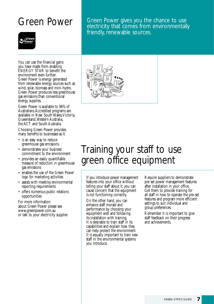Green Power Green Power gives you the chance to use electricity that comes from environmentally friendly, renewable sources.



You can use the financial gains you have made from enabling ENERGY STAR to benefit the environment even further. Green Power is energy generated from renewable energy sources such as wind, solar, biomass and mini-hydro. Green Power produces less greenhouse gas emissions than conventional energy supplies.

Green Power is available to 96% of Australians.Accredited programs are available in New South Wales, Victoria, Queensland,Western Australia, the ACT and South Australia.

Choosing Green Power provides many benefits to businesses as it:

- is an easy way to reduce greenhouse gas emissions
- demonstrates your business' commitment to the environment
- provides an easily quantifiable measure of reduction in greenhouse gas emissions
- enables the use of the Green Power logo for marketing activities
- assists with meeting environmental reporting requirements
- offers numerous public relations opportunities

For more information about Green Power please see www.greenpower.com.au or talk to your electricity supplier.



# Training your staff to use green office equipment

If you introduce power management features into your office without telling your staff about it, you can cause concern that the equipment is not functioning correctly.

On the other hand, you can enhance staff morale and performance by choosing your equipment well and following its installation with training. It is desirable to train staff in its capabilities and explain how they can help protect the environment. It is equally important to train new staff in the environmental systems you introduce.

Require suppliers to demonstrate pre-set power management features after installation in your office. Get them to provide training for all staff in how to operate the pre-set features and program more efficient settings to suit individual and group preferences.

Remember it is important to give staff feedback on their progress and achievements.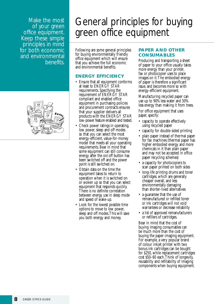Make the most of your green office equipment. Keep these simple principles in mind for both economic and environmental benefits.



# General principles for buying green office equipment

Following are some general principles for buying environmentally friendly office equipment which will ensure that you achieve the full economic and environmental benefits.

### **ENERGY EFFICIENCY**

- Ensure that all equipment conforms at least to ENERGY STAR requirements. Specifying the requirement of ENERGY STAR compliant and enabled office equipment in purchasing policies and procurement contracts ensures that your supplier delivers all products with the ENERGY STAR low-power feature enabled and tested.
- Check power ratings in operating, low power, sleep and off modes so that you can select the most energy-efficient, value-for-money model that meets all your operating requirements. Bear in mind that some equipment can still consume energy after the on/off button has been switched off and the power point is still switched on.
- Obtain data on the time the equipment takes to return to operation when it is switched on or woken up so that you can select equipment that responds quickly. There is no definite correlation between energy use in sleep mode and speed of wake-up.
- Look for the lowest possible time options to move to low power, sleep and off modes.This will save you both energy and money.

### **PAPER AND OTHER CONSUMABLES**

Producing and transporting a sheet of paper to your office usually takes more energy than your printer, fax or photocopier uses to place images on it.The embodied energy of paper is therefore a significant issue, and becomes more so with energy-efficient equipment.

Manufacturing recycled paper can use up to 90% less water and 50% less energy than making it from trees.

For office equipment that uses paper, specify:

- capacity to operate effectively using recycled paper
- capacity for double-sided printing
- plain paper instead of thermal paper for fax machines (thermal paper has higher embodied energy and more chemicals in it than plain paper and may not be accepted in office paper recycling schemes)
- a capacity for photocopiers to scan paper printed on both sides
- long-life printing drums and toner cartridges, which are generally cheaper overall, and less environmentally damaging than shorter-lived alternatives
- a guarantee that the use of remanufactured or refilled toner or ink cartridges will not void warrantees or decrease reliability
- a list of approved remanufacturers or refillers of cartridges.

Bear in mind that the cost of buying imaging consumables can be much more than the cost of buying the paper-imaging equipment. For example, a very popular brand of colour inkjet printer with two bonus ink cartridges can be bought for \$250, while replacement cartridges cost \$50–60 each. Think of longevity, reusability and refillability of imaging components when buying equipment.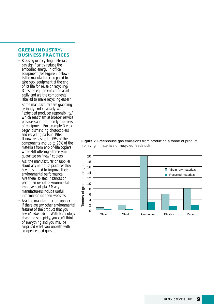### **GREEN INDUSTRY/ BUSINESS PRACTICES**

- Reusing or recycling materials can significantly reduce the embodied energy in office equipment (see Figure 2 below). Is the manufacturer prepared to take back equipment at the end of its life for reuse or recycling? Does the equipment come apart easily and are the components labelled to make recycling easier? Some manufacturers are grappling seriously and creatively with "extended producer responsibility," which sees them as broader service providers and not merely suppliers of equipment. For example, Xerox began dismantling photocopiers and recycling parts in 1968. It now reuses up to 75% of the components, and up to 98% of the materials from end-of-life copiers while still offering a three-year guarantee on "new" copiers.
- Ask the manufacturer or supplier about any in-house practices they have instituted to improve their environmental performance. Are these isolated instances or part of an overall environmental improvement plan? Many manufacturers include useful information on their websites.
- Ask the manufacturer or supplier if there are any other environmental features of the product that you haven't asked about.With technology changing so rapidly, you can't think of everything and you may be surprised what you unearth with an open-ended question.



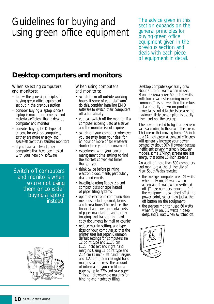## Guidelines for buying and using green office equipment

The advice given in this section expands on the general principles for buying green office equipment given in the previous section and deals with each piece of equipment in detail.

### **Desktop computers and monitors**

When selecting computers and monitors:

- follow the general principles for buying green office equipment set out in the previous section
- consider buying a laptop, since a laptop is much more energy- and materials-efficient than a desktop computer and monitor
- consider buying LCD-type flat screens for desktop computers, as they are more energy- and space-efficient than standard monitors
- if you have a network, buy computers that have been tested with your network software.

Switch off computers and monitors when you're not using them or consider buying a laptop instead.



When using computers and monitors:

- switch them off outside working hours. If some of your staff won't do this, consider installing EMO software to switch their computers off automatically
- you can switch off the monitor if a computer is being used as a server and the monitor is not required
- switch off your computer whenever you are away from your desk for an hour or more or for whatever shorter time you find convenient
- experiment with your power management time settings to find the shortest convenient times that suit you
- think twice before printing electronic documents, particularly drafts and emails
- investigate using floppy, zip and compact disks or tape instead of paper filing systems
- optimise electronic communication methods including email, forms and transactions.This reduces the financial and environmental costs of paper manufacture and supply, imaging, and transporting hard copy documents by mail or courier
- reduce margin settings and type sizes on your computer so that the printer uses less paper. Common default settings for computers are 12 point type and 3.175 cm  $(1.25$  inch) left and right hand margins. Using 11 point type and 2.54 cm (1 inch) left hand margins and 1.27 cm (0.5 inch) right hand margins can increase the amount of information you can fit on a page by up to 27% and save paper. This still allows ample margins for binding and hardcopy filing.

Desktop computers generally draw about 40 to 50 watts when in use. Monitors usually use 50 to 100 watts, with lower values becoming more common.This is lower than the values that are usually shown on product nameplates and data sheets because the maximum likely consumption is usually given and not the average.

The power needed to light up a screen varies according to the area of the screen. That means that moving from a 15-inch to a 17-inch screen at constant efficiency will generally increase your power demand by about 30%. However, because inefficiencies vary markedly between models, some 17-inch screens use less energy that some 15-inch screens

An audit of more than 600 computers and monitors at the University of New South Wales revealed:

- the average computer used 49 watts when fully on, 29 watts when asleep, and 2 watts when switched off. (These numbers reduce to 0 if the equipment is switched off at the power point, rather than just at the off button on the equipment)
- the average monitor used 60 watts when fully on, 6.5 watts in deep sleep, and 1 watt when switched off.

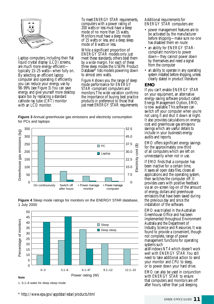

Laptop computers, including their flat liquid crystal display (LCD) screens, are much more energy-efficient typically 15–25 watts—when fully on. By selecting an efficient laptop computer and operating it efficiently you can reduce your energy use by 98–99% (see Figure 3).You can save energy and give yourself more desktop space too by replacing a standard cathode ray tube (CRT) monitor with an LCD monitor.

To meet ENERGY STAR requirements, computers with a power rating of 200 watts or less must have a sleep mode of no more than 15 watts.<br>Monitors must have a sleep mode of 15 watts or less, and a deep sleep mode of 8 watts or less.

While a significant proportion of ENERGY STAR models only just meet these standards, others beat them by a wide margin. For each of these three sleep modes the USEPA Product Database\* lists models powering down to almost zero watts.

Figure 4 shows you the range of sleep mode performance for ENERGY STAR-compliant computers and monitors.The wide variation confirms the importance of buying best practice products in preference to those that just meet ENERGY STAR requirements.

**Figure 3** Annual greenhouse gas emissions and electricity consumption for PCs and laptops





0–3 3.1–6 6.1–91 9.1–12 12.1–15 Power rating (W)

**Figure 4** Sleep mode ratings for monitors on the ENERGY STAR database, 1 July 2000

**Note**

\* http://www.epa.gov/appdstar/estar/products.html

Additional requirements for ENERGY STAR computers are:

- power management features are to be activated by the manufacturer before shipping—make sure no-one has disabled them en route
- an ability for ENERGY STARcompliant monitors to power down—they cannot power down by themselves and need a signal from the computer
- an ability to operate in any operating system installed before shipping, unless clearly stated in product literature

#### **EMO**

If you can't enable ENERGY STAR on your equipment, an alternative energy-saving software product called Energy Management Option, EMO, is now available.This software can switch off your computer when you're not using it and shut it down at night. It also provides calculations on energy, cost and greenhouse gas emissions savings which are useful details to include in your business's energy audits and reports.

EMO offers significant energy savings for the approximately one-third of all computers which are left on unnecessarily when not in use.

If EMO finds that a computer has been inactive for a certain time, it saves all open data files, closes all applications and the operating system, then switches the computer off. It provides users with positive feedback via an on-screen log-on of the amount of energy, dollars and greenhouse emissions that have been saved during the previous day and since the installation of the software.

EMO was trialled in the Australian Greenhouse Office and has been implemented throughout Environment Australia and the Department of Industry, Science and Resources. It was found to provide a convenient, though not complete, range of power management functions for operating systems such

as Windows NT4 which doesn't work well with ENERGY STAR.You still need to take additional action to send your monitor and CPU to sleep, or to power down your hard drive.

EMO can also be used in conjunction with ENERGY STAR to ensure that computers and monitors are off after hours, rather than just sleeping.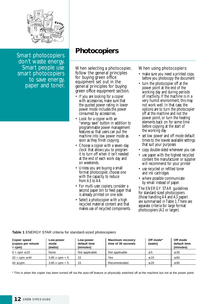

Smart photocopiers don't waste energy. Smart people use smart photocopiers to save energy, paper and toner.

### **Photocopiers**

When selecting a photocopier, follow the general principles for buying green office equipment set out in the general principles for buying green office equipment section.

- If you are looking for a copier with accessories, make sure that the quoted power rating in lower power mode includes the power consumed by accessories.
- Look for a copier with an "energy save" button in addition to programmable power management features so that users can put the machine into low power mode as soon as they finish copying.
- Choose a copier with a seven-day clock that allows you to program it to turn off when it isn't needed at the end of each work day and on weekends.
- Unless you are buying a small format photocopier, choose one with the capacity to reduce from A3 to A4.
- For multi-user copiers, consider a second paper bin to feed paper that is already printed on one side.
- Select a photocopier with a high recycled material content and that makes use of recycled components.

When using photocopiers:

- make sure you need a printed copy before you photocopy the document
- turn the photocopier off at the power point at the end of the working day and during periods of inactivity. If the machine is in a very humid environment, this may not work well. In that case, the options are to turn the photocopier off at the machine and not the power point, or turn the heating elements back on for some time before copying at the start of the working day
- set low power and off mode default times to the lowest available settings that suit your purposes
- copy double-sided whenever you can
- use paper with the highest recycled content the manufacturer or supplier will recommend for your printer
- use recycled or refilled toner and ink cartridges
- where possible communicate by email instead of paper.

The ENERGY STAR guidelines for standard-sized photocopiers (those handling A4 and A3 paper) are summarised in Table 1.There are separate criteria for large format photocopiers (A2 or larger).

| <b>Copier speed</b><br>(copies per minute<br>$=$ cpm $)$ | Low-power<br>mode<br>(watts) | Low-power<br>default time<br>(minutes) | <b>Maximum recovery</b><br>time of 30 seconds | Off mode*<br>(watts) | Off mode<br>default time<br>(minutes) |
|----------------------------------------------------------|------------------------------|----------------------------------------|-----------------------------------------------|----------------------|---------------------------------------|
| $0 < \text{cpm} \leq 20$                                 | None                         | Not applicable                         | Not applicable                                | $\leq 5$             | $\leq 30$                             |
| $20 < \text{cpm} \leq 44$                                | $3.85 x$ cpm + 5             | 15                                     | Yes                                           | < 15                 | $\leq 60$                             |
| $44 \le$ cpm                                             | $3.85 \times$ cpm + 5        | 15                                     | Recommended                                   | $\leq 20$            | $\leq 90$                             |
|                                                          |                              |                                        |                                               |                      |                                       |

**Table 1** ENERGY STAR criteria for standard-sized photocopiers

\* This is when the copier has been turned off via the auto-off feature or physically switched off at the machine but not at the power point.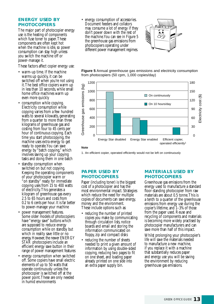#### **ENERGY USED BY PHOTOCOPIERS**

The major part of photocopier energy use is the heating of components which fuse toner to paper. These components are often kept hot when the machine is idle, so power consumption can stay high unless you switch the machine off or power-manage it.

These factors affect copier energy use:

- warm-up time. If the machine warms up quickly, it can be switched off when you're not using it.The best office copiers warm up in less than 10 seconds, while small home office machines warm up even more quickly
- consumption while copying. Electricity consumption while copying varies from a few hundred watts to several kilowatts, generating from a quarter to more than three kilograms of greenhouse gas and costing from four to 45 cents per hour of continuous copying. Each time you start photocopying, the machine uses extra energy to get ready to operate.You can save energy by "batch copying," which involves saving up your copying tasks and doing them in one batch
- standby consumption when switched on but not copying. Keeping the operating components of your photocopier warm or "on standby" ready for immediate copying uses from 15 to 400 watts of electricity.This generates a kilogram of greenhouse gas every 2.5 to 65 hours and costs from 0.2 to 6 cents per hour. It is far better to power-manage your machine
- power management features. Some older models of photocopiers have "energy save" buttons which are supposed to reduce energy consumption while on standby but which in reality save little or no energy. However, the newer ENERGY STAR photocopiers include an efficient energy save button in their range of power management features
- energy consumption when switched off. Some copiers have small electric elements of up to 50 watts that operate continuously unless the photocopier is switched off at the power point.These are only needed in humid environments

• energy consumption of accessories. Document feeders and collators may consume a lot of energy if they don't power down with the rest of the machine.You can see in Figure 5 the greenhouse gas emissions from photocopiers operating under different power management regimes.



**Figure 5** Annual greenhouse gas emissions and electricity consumption from photocopiers (50 cpm, 1,000 copies/day)



1. An efficient copier, operated efficiently would not be left on continuously

### **PAPER USED BY PHOTOCOPIERS**

Paper (including toner) is the biggest cost of a photocopier and has the most environmental impact. Strategies which reduce the need for multiple copies of documents can save energy, money and the environment. These include options such as:

- reducing the number of printed copies you make by communicating through circulation lists, notice boards and email and storing the information communicated on floppy, zip and compact disks
- reducing the number of sheets needed to print a given amount of information by using double-sided copying, reducing two pages to fit on one sheet, and loading paper already printed on one side into an extra paper supply bin.

### **MATERIALS USED BY PHOTOCOPIERS**

Greenhouse gas emissions from the energy used to manufacture a standard floor-standing photocopier from raw materials are about 0.5 tonne.This is a tenth to a quarter of the greenhouse emissions from energy use during the copier's lifetime, and 1–3% of those from the paper used. Reuse and recycling of components and materials is becoming more widely practised by photocopier manufacturers and can save more than half of this impact.

Whilst prolonging your photocopier's life will save the materials needed to manufacture a new machine, if you replace it with a machine that substantially reduces paper and energy use you will be saving the environment by reducing greenhouse gas emissions.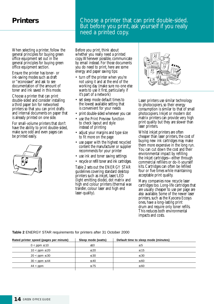### **Printers**

When selecting a printer, follow the general principles for buying green office equipment set out in the general principles for buying green office equipment section.

Ensure the printer has toner- or ink-saving modes such as draft or "econosave" and ask to see documentation of the amount of toner and ink saved in this mode.

Choose a printer that can print double-sided and consider installing a third paper bin for networked printers so that you can print drafts and internal documents on paper that is already printed on one side.

For small-volume printers that don't have the ability to print double-sided, make sure odd and even pages can be printed easily.



### Choose a printer that can print double-sided. But before you print, ask yourself if you really need a printed copy.

Before you print, think about whether you really need a printed copy.Whenever possible, communicate by email instead. For those documents you do need to print, here are some energy and paper saving tips:

- turn off the printer when you're not using it and at the end of the working day (make sure no-one else wants to use it first, particularly if it's part of a network)
- set sleep mode default times to the lowest available setting that is convenient for your needs
- print double-sided whenever you can
- use the Print Preview function to check layout and style instead of printing
- adjust your margins and type size to fit more on the page
- use paper with the highest recycled content the manufacturer or supplier recommends for your printer
- use ink and toner saving settings
- recycle or refill toner and ink cartridges.

Table 2 sets out the ENERGY STAR guidelines covering standard desktop printers such as inkjet, laser/LED (light emitting diode), dot matrix and high end colour printers (thermal wax transfer, colour laser and high end laser-quality).



Laser printers use similar technology to photocopiers, so their energy consumption is similar to that of small photocopiers. Inkjet or modern dot matrix printers can provide very high print quality but they are slower than laser printers.

Whilst inkjet printers are often cheaper than laser printers, the cost of buying new ink cartridges may make them more expensive in the long run. You can cut down the cost and their environmental impact by refilling the inkjet cartridges—either through commercial refillers or do-it-yourself kits. Cartridges can often be refilled four or five times while maintaining acceptable print quality.

Many companies now recycle laser cartridges too. Long-life cartridges that are usually cheaper to use per page are also available. Some of the newer laser printers, such as the Kyocera Ecosys ones, have a long-lasting print drum and require only toner refills. This reduces both environmental impacts and costs.

#### **Table 2** ENERGY STAR requirements for printers after 31 October 2000

| Rated printer speed (pages per minute) | Sleep mode (watts) | Default time to sleep mode (minutes) |
|----------------------------------------|--------------------|--------------------------------------|
| $0 <$ ppm $\leq 10$                    | ≤10                | $\leq 5$                             |
| $10 <$ ppm $\leq 20$                   | $\leq 20$          | $\leq 15$                            |
| $20 <$ ppm $\leq 30$                   | $\leq 30$          | $\leq 30$                            |
| $30 <$ ppm $\leq 44$                   | $\leq 40$          | $\leq 60$                            |
| $44 <$ ppm                             | < 75               | $\leq 60$                            |
|                                        |                    |                                      |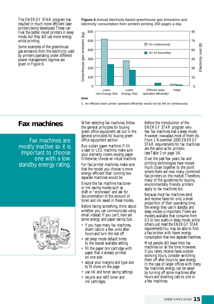The ENERGY STAR program has resulted in much more efficient laser printers being developed.These can rival the better inkjet printers in sleep mode, but they still use more energy while printing.

Some examples of the greenhouse gas emissions from the electricity used by printers operating under different power management regimes are given in Figure 6.

**Figure 6** Annual electricity-based greenhouse gas emissions and electricity consumption from printers printing 200 pages a day



1. An efficient laser printer operated efficiently would not be left on continuously

Fax machines are mostly inactive so it is important to choose one with a low standby energy rating.



**Fax machines** When selecting fax machines, follow the general principles for buying green office equipment set out in the general principles for buying green office equipment section.

> Buy a plain paper machine. If it's a laser or LED machine, make sure your warranty covers reusing paper. Otherwise, choose an inkjet machine.

For fax/printer machines, make sure that the model you choose is more energy-efficient than running two separate machines would be.

Ensure the fax machine has toneror ink-saving modes such as draft or "econosave" and ask for documentation of the amount of toner and ink saved in these modes.

Before faxing something, think about whether you can communicate using email instead. If you can't, here are some energy and paper saving tips:

- if you have many fax machines, divert calls to a few units after hours and turn the rest off
- set sleep mode default times to the lowest available setting
- fill the paper bin/cartridge with paper that is already printed on one side
- adjust your margins and type size to fit more on the page
- use ink and toner saving settings
- recycle and refill toner and ink cartridges.

Before the introduction of the ENERGY STAR program very few fax machines had a sleep mode. However, nowadays most of them do. From 1 November 2000 ENERGY STAR requirements for fax machines are the same as for printers (see Table 2 on page 14).

Over the past few years, fax and printing technologies have moved much closer together to the point where there are now many combined fax/printers on the market.Therefore, many of the guidelines for buying environmentally friendly printers apply to fax machines too.

Because most fax machines send and receive faxes for only a small proportion of their operating time, the energy they use in standby and sleep modes is important.There are models available that consume from 0.5 to two watts in sleep mode, while others just meet the ENERGY STAR requirements.You may be able to find a fax/printer with lower energy consumption than two separate machines.

Most people still leave their fax machines on all the time. However, if you rarely receive faxes outside working hours, consider switching them off after hours to save energy. In the case of larger offices with many fax machines, energy can be saved by turning off some machines after hours and diverting calls to one or a few machines.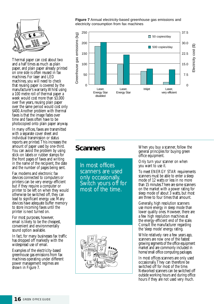

Thermal paper can cost about two and a half times as much as plain paper, and plain paper already printed on one side is often reused in fax machines. For laser and LED machines, you will need to check that reusing paper is covered by the manufacturer's warranty.Whilst using a 100 metre roll of thermal paper a week would cost more than \$3,000 over five years, reusing plain paper over the same period would cost only \$400.Another problem with thermal faxes is that the image fades over time and faxes often have to be photocopied onto plain paper anyway.

In many offices, faxes are transmitted with a separate cover sheet and individual transmission or status reports are printed.This increases the amount of paper used by one-third. You can avoid the problem by using stick-on labels or rubber stamps for the front pages of faxes and writing in the name of the recipient, the date and the number of pages being sent.

Fax modems and electronic fax devices connected to computers or printers can be very energy-efficient but if they require a computer or printer to be left on when they would otherwise be switched off, they can lead to significant energy use. Many devices have adequate buffer memory to store incoming faxes until the printer is next turned on.

For most purposes, however, email is likely to be the cheapest, convenient and environmentally sound option available.

In fact, for many businesses fax traffic has dropped off markedly with the widespread use of email.

Examples of the electricity-based greenhouse gas emissions from fax machines operating under different power management regimes are shown in Figure 7.

**Figure 7** Annual electricity-based greenhouse gas emissions and electricity consumption from fax machines



### **Scanners**

In most offices scanners are used only occasionally. Switch yours off for most of the time.



When you buy a scanner, follow the general principles for buying green office equipment.

Only turn your scanner on when you want to use it.

To meet ENERGY STAR requirements scanners must be able to enter a sleep mode of 12 watts or less in no more than 15 minutes.There are some scanners on the market with a power rating for sleep mode of about 3 watts, but most are three to four times that amount.

Generally, high resolution scanners use more energy in sleep mode than lower quality ones. However, there are a few high resolution machines at the energy-efficient end of the scale. Consult the manufacturer regarding the 'sleep mode' energy rating.

While relatively rare a few years ago, scanners are now one of the fastest growing segments of the office equipment market and are commonly included in home/small office computing packages.

In most offices scanners are only used occasionally.They can therefore be switched off for most of the time. Networked scanners can be switched off outside working hours and during office hours if they are not used very much.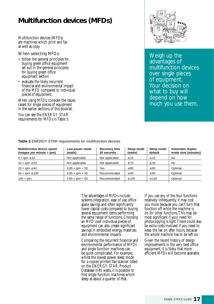### **Multifunction devices (MFDs)**

Multifunction devices (MFDs) are machines which print and fax as well as copy.

When selecting MFDs:

- follow the general principles for buying green office equipment set out in the general principles for buying green office equipment section
- evaluate the likely recurrent financial and environmental impact of the MFD compared to individual pieces of equipment.

When using MFDs, consider the issues raised for single pieces of equipment in the earlier sections of this booklet.

You can see the ENERGY STAR requirements for MFDs in Table 3.



Weigh up the advantages of multifunction devices over single pieces of equipment. Your decision on what to buy will depend on how much you use them.

| <b>Multifunction device speed</b><br>(images per minute = ipm) | Low-power mode<br>(watts) | <b>Recovery time</b><br>30 seconds | Sleep mode<br>(watts) | Sleep mode<br>default | <b>Automatic duplex</b><br>mode time (minutes) |
|----------------------------------------------------------------|---------------------------|------------------------------------|-----------------------|-----------------------|------------------------------------------------|
| $0 <$ ipm $\leq 10$                                            | Not applicable            | Not applicable                     | $\leq 15$             | $\leq 15$             | No                                             |
| $10 < \text{ipm} \leq 20$                                      | Not applicable            | Not applicable                     | $\leq 70$             | $\leq 30$             | No                                             |
| $20 <$ ipm $\leq 44$                                           | $3.85 x$ ipm + 50         | Yes                                | $\leq 80$             | $\leq 60$             | Optimal                                        |
| $44 < i$ pm $\leq 100$                                         | $3.85 \times$ ipm + 50    | Recommended                        | $\leq 95$             | $\leq 90$             | Optimal                                        |
| $100 < \text{ipm}$                                             | $3.85 x$ ipm + 50         | Recommended                        | $\leq 105$            | $\leq 120$            | Optimal                                        |

**Table 3** ENERGY STAR requirements for multifunction devices

The advantages of MFDs include systems integration, ease of use, office space savings and often significantly lower capital costs compared to buying several equipment items performing the same range of functions. Choosing an MFD over individual pieces of equipment can also create significant savings in embodied energy, materials and environmental impacts.

Comparing the recurrent financial and environmental performance of MFDs and single function machines can be quite complicated. For example, whilst the lowest power sleep mode for a copier/printer/fax/scanner listed on the ENERGY STAR Product Database is 45 watts, it is possible to find single function machines which sleep at about a quarter of that.

If you use any of the four functions relatively infrequently, it may cost you more because you can't turn that function off while the machine is on for other functions.This may be most significant if your need for photocopying is light.There could also be extra costs involved if you need to keep the fax on after hours, because the whole machine has to be left on.

Given the recent history of design improvements in the very best office equipment, it is likely that more efficient MFDs will become available.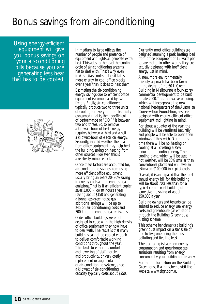## Bonus savings from air-conditioning

Using energy-efficient equipment will give you bonus savings on your air-conditioning bills because you are generating less heat that has to be cooled.



In medium to large offices, the number of people and presence of equipment and lights all generate extra heat.This adds to the load the cooling cycle of air-conditioning systems has to deal with.That's why even in Australia's coolest cities it takes more energy to cool office blocks over a year than it does to heat them.

Estimating the air-conditioning energy savings due to efficient office equipment is complicated by two factors. Firstly, air-conditioners typically produce two to three units of cooling for every unit of electricity consumed (that is, their coefficient of performance or "COP" is between two and three). So, to remove a kilowatt-hour of heat energy requires between a third and a half a kilowatt-hour of electrical energy. Secondly, in cold weather the heat from office equipment may help heat the building, saving on heating from other sources. However, this is a relatively minor effect.

Once these factors are accounted for, air-conditioning savings from using more efficient office equipment usually bring an extra 20–30% saving in energy costs and greenhouse gas emissions.That is, if an efficient copier saves 1,000 kilowatt hours a year (saving about \$150 and generating a tonne less greenhouse gas), additional savings will be up to \$45 on air-conditioning costs and 300 kg of greenhouse gas emissions.

Older office buildings were not designed to cope with the high density of office equipment they now have to deal with.The result is that many buildings cannot be cooled enough to deliver comfortable working conditions throughout the year. This leads to either discomfort and lowering of staff morale and productivity, or very costly replacement or augmentation of air-conditioning systems, since a kilowatt of air-conditioning capacity typically costs about \$250.

Currently, most office buildings are designed assuming a peak heating load from office equipment of 15 watts per square metre. In other words, they are actually designed with inefficient energy use in mind.

A new, more environmentally friendly approach has been taken in the design of the 60 L Green Building in Melbourne, a four-storey commercial development to be built in late 2000.This innovative building, which will incorporate the new national headquarters of the Australian Conservation Foundation, has been designed with energy-efficient office equipment and lighting in mind.

For about a quarter of the year, the building will be ventilated naturally and people will be able to open their windows if they wish. During this time there will be no heating or cooling at all, creating a 75% reduction in cooling energy.The cooling plant, which will be used in hot weather, will be 20% smaller than conventional plants and will save an estimated \$100,000 in capital costs.

Overall, it is anticipated that the total annual energy bill for this building will be about 70% less than for a typical commercial building of the same size—a saving of about \$50,000 a year.

Building owners and tenants can be assisted to reduce energy use, energy costs and greenhouse gas emissions through the Building Greenhouse Rating scheme.

This scheme benchmarks a building's greenhouse impact on a star scale of one to five, one being the most polluting and five the least.

The star rating is based on energy consumption and greenhouse gas emissions resulting from energy consumed by your building or tenancy.

For more information on the Building Greenhouse Rating scheme visit the website, www.abgr.com.au.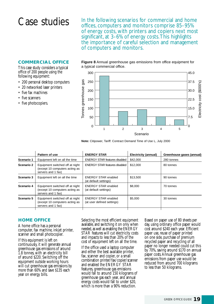Case studies  $\frac{1}{2}$  In the following scenarios for commercial and home offices, computers and monitors comprise 85–95% of energy costs, with printers and copiers next most significant, at 3–6% of energy costs.This highlights the importance of careful selection and management of computers and monitors.

### **COMMERCIAL OFFICE**

This case study considers a typical office of 200 people using the following equipment:

- 200 personal desktop computers
- 20 networked laser printers
- five fax machines
- five scanners
- five photocopiers.

**Figure 8** Annual greenhouse gas emissions from office equipment for a typical commercial office.



**Note:** Citipower, Tariff: Contract Demand Time of Use L, July 2000

|            | Pattern of use                                                                          | <b>ENERGY STAR</b>                                       | <b>Electricity (annual)</b> | Greenhouse gases (annual) |
|------------|-----------------------------------------------------------------------------------------|----------------------------------------------------------|-----------------------------|---------------------------|
| Scenario 1 | Equipment left on all the time                                                          | <b>ENERGY STAR features disabled</b>                     | \$42,000                    | 280 tonnes                |
| Scenario 2 | Equipment switched off at night<br>(except 10 computers acting as<br>servers and 1 fax) | <b>ENERGY STAR features disabled</b>                     | \$12,000                    | 80 tonnes                 |
| Scenario 3 | Equipment left on all the time                                                          | <b>ENERGY STAR enabled</b><br>(at default settings)      | \$13.500                    | 90 tonnes                 |
| Scenario 4 | Equipment switched off at night<br>(except 10 computers acting as<br>servers and 1 fax) | <b>ENERGY STAR enabled</b><br>(at default settings)      | \$8,000                     | 70 tonnes                 |
| Scenario 5 | Equipment switched off at night<br>(except 10 computers acting as<br>servers and 1 fax) | <b>ENERGY STAR enabled</b><br>(at user defined settings) | \$5,000                     | 30 tonnes                 |
|            |                                                                                         |                                                          |                             |                           |

#### **HOME OFFICE**

A home office has a personal computer, fax machine, inkjet printer, scanner and small photocopier.

If this equipment is left on continuously, it will generate annual greenhouse gas emissions of around 1.8 tonnes, with an electricity bill of around \$220. Switching off the equipment outside working hours will cut greenhouse gas emissions by more than 60% and save \$135 each year on energy bills.

Selecting the most efficient equipment available, and switching it on only when needed, as well as enabling the ENERGY STAR features will cut electricity costs and impacts to less than 20% of the cost of equipment left on all the time.

If the office used a laptop computer and either the best available printer, fax, scanner and copier, or a small combination printer/fax/copier/scanner and enabled the ENERGY STAR features, greenhouse gas emissions would fall to around 150 kilograms of greenhouse gas each year, and annual energy costs would fall to under \$20, which is more than a 90% reduction.

Based on paper use of 80 sheets per day, using ordinary office paper would cost around \$240 each year. Efficient paper use, reuse of paper printed on one side, purchase of premium recycled paper and recycling of all paper no longer needed could cut this by 70%, saving around \$170 on annual paper costs.Annual greenhouse gas emissions from paper use would be reduced from around 700 kilograms to less than 50 kilograms.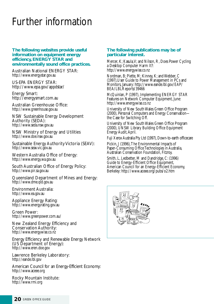# Further information

#### **The following websites provide useful information on equipment energy efficiency, ENERGY STAR and environmentally sound office practices.**

Australian National ENERGY STAR: http://www.energystar.gov.au

US-EPA ENERGY STAR: http://www.epa.gov/appdstar/

Energy Smart: http://energysmart.com.au

Australian Greenhouse Office: http://www.greenhouse.gov.au

NSW Sustainable Energy Development Authority (SEDA): http://www.seda.nsw.gov.au

NSW Ministry of Energy and Utilities http://www.doe.nsw.gov.au

[Sustainable Energy Authority Victoria \(SEAV\):](http://www.seav.vic.gov.au/) http://www.seav.vic.gov.au

Western Australia Office of Energy: http://www.energy.wa.gov.au

South Australian Office of Energy Policy: http://www.pir.sa.gov.au

Queensland Department of Mines and Energy: http://www.dme.qld.gov.au

Environment Australia: http://www.ea.gov.au

Appliance Energy Rating: http://www.energyrating.gov.au

Green Power: http://www.greenpower.com.au/

New Zealand Energy Efficiency and Conservation Authority: http://www.energywise.co.nz

Energy Efficiency and Renewable Energy Network (US Department of Energy): http://www.eren.doe.gov

Lawrence Berkeley Laboratory: http://eande.lbl.gov

American Council for an Energy-Efficient Economy: http://www.aceee.org

Rocky Mountain Institute: http://www.rmi.org

#### **The following publications may be of particular interest.**

Mercer, K; Kasula,V; and Nilson, R, Does Power Cycling a Desktop Computer Harm It?: http://www.energywise.co.nz

Nordman, B; Piette, M; Kinney, K; and Webber, C (1997),User Guide to Power Management in PCs and Monitors, January: http://www.eande.lbl.gov/EAP/ BEA/LBLReports/39466

McQuinlan, P (1997), Implementing ENERGY STAR Features on Network Computer Equipment, June: http://www.energywise.co.nz

University of New South Wales Green Office Program (2000), Personal Computers and Energy Conservation the Case for Switching Off.

University of New South Wales Green Office Program (2000), UNSW Library Building Office Equipment Energy Audit,April.

Fuji Xerox Australia Pty Ltd (1997), Down-to-earth officecare

Pickin, J (1996),The Environmental Impacts of Paper-Consuming Office Technologies in Australia, Australian Conservation Foundation, Fitzroy.

Smith, L, Ledbetter, M and Dandridge, C: (1996) Guide to Energy-Efficient Office Equipment, American Council for an Energy-Efficient Economy, Berkeley: http://www.aceee.org/pubs/o2.htm